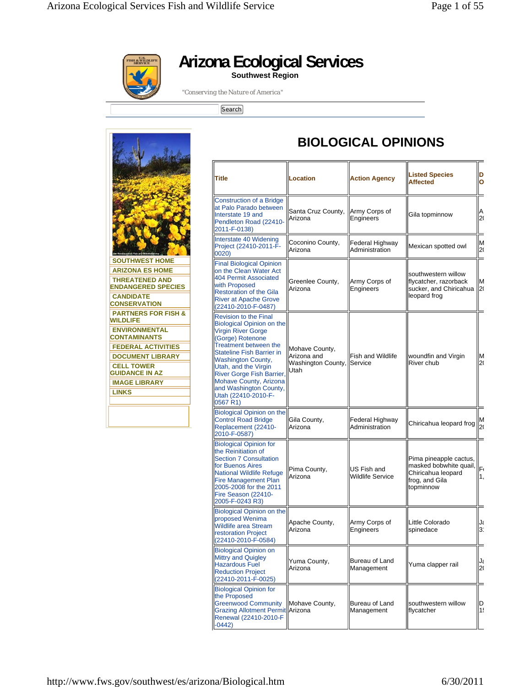

**Arizona Ecological Services** 

**Southwest Region** 

*"Conserving the Nature of America"* 

[Search]



| <b>Title</b>                                                                                                                                                                                                                                                                                                                                            | <b>Location</b>                                             | <b>Action Agency</b>                   | <b>Listed Species</b><br><b>Affected</b>                                                              | D<br>O               |
|---------------------------------------------------------------------------------------------------------------------------------------------------------------------------------------------------------------------------------------------------------------------------------------------------------------------------------------------------------|-------------------------------------------------------------|----------------------------------------|-------------------------------------------------------------------------------------------------------|----------------------|
| <b>Construction of a Bridge</b><br>at Palo Parado between<br>Interstate 19 and<br>Pendleton Road (22410-<br>2011-F-0138)                                                                                                                                                                                                                                | Santa Cruz County,<br>Arizona                               | Army Corps of<br>Engineers             | Gila topminnow                                                                                        | Α<br>2(              |
| Interstate 40 Widening<br>Project (22410-2011-F-<br>0020)                                                                                                                                                                                                                                                                                               | Coconino County,<br>Arizona                                 | Federal Highway<br>Administration      | Mexican spotted owl                                                                                   | M<br>2(              |
| <b>Final Biological Opinion</b><br>on the Clean Water Act<br>404 Permit Associated<br>with Proposed<br><b>Restoration of the Gila</b><br><b>River at Apache Grove</b><br>(22410-2010-F-0487)                                                                                                                                                            | Greenlee County,<br>Arizona                                 | Army Corps of<br>Engineers             | southwestern willow<br>flycatcher, razorback<br>sucker, and Chiricahua<br>leopard frog                | M<br>2(              |
| <b>Revision to the Final</b><br><b>Biological Opinion on the</b><br><b>Virgin River Gorge</b><br>(Gorge) Rotenone<br>Treatment between the<br><b>Stateline Fish Barrier in</b><br><b>Washington County,</b><br>Utah, and the Virgin<br>River Gorge Fish Barrier,<br>Mohave County, Arizona<br>and Washington County,<br>Utah (22410-2010-F-<br>0567 R1) | Mohave County,<br>Arizona and<br>Washington County,<br>Utah | <b>Fish and Wildlife</b><br>Service    | woundfin and Virgin<br>River chub                                                                     | M<br>2(              |
| <b>Biological Opinion on the</b><br><b>Control Road Bridge</b><br>Replacement (22410-<br>2010-F-0587)                                                                                                                                                                                                                                                   | Gila County,<br>Arizona                                     | Federal Highway<br>Administration      | Chiricahua leopard frog                                                                               | M<br>2(              |
| <b>Biological Opinion for</b><br>the Reinitiation of<br><b>Section 7 Consultation</b><br>for Buenos Aires<br><b>National Wildlife Refuge</b><br><b>Fire Management Plan</b><br>2005-2008 for the 2011<br>Fire Season (22410-<br>2005-F-0243 R3)                                                                                                         | Pima County,<br>Arizona                                     | US Fish and<br><b>Wildlife Service</b> | Pima pineapple cactus,<br>masked bobwhite quail,<br>Chiricahua leopard<br>frog, and Gila<br>topminnow | F٢<br>1.             |
| <b>Biological Opinion on the</b><br>proposed Wenima<br>Wildlife area Stream<br>restoration Project<br>(22410-2010-F-0584)                                                                                                                                                                                                                               | Apache County,<br>Arizona                                   | Army Corps of<br>Engineers             | Little Colorado<br>spinedace                                                                          | J٤<br>3 <sup>1</sup> |
| <b>Biological Opinion on</b><br>Mittry and Quigley<br><b>Hazardous Fuel</b><br><b>Reduction Project</b><br>(22410-2011-F-0025)                                                                                                                                                                                                                          | Yuma County,<br>Arizona                                     | Bureau of Land<br>Management           | Yuma clapper rail                                                                                     | J٤<br>20             |
| <b>Biological Opinion for</b><br>the Proposed<br><b>Greenwood Community</b><br><b>Grazing Allotment Permit Arizona</b><br>Renewal (22410-2010-F<br>$-0442)$                                                                                                                                                                                             | Mohave County,                                              | Bureau of Land<br>Management           | southwestern willow<br>flycatcher                                                                     | D<br>1!              |

**BIOLOGICAL OPINIONS**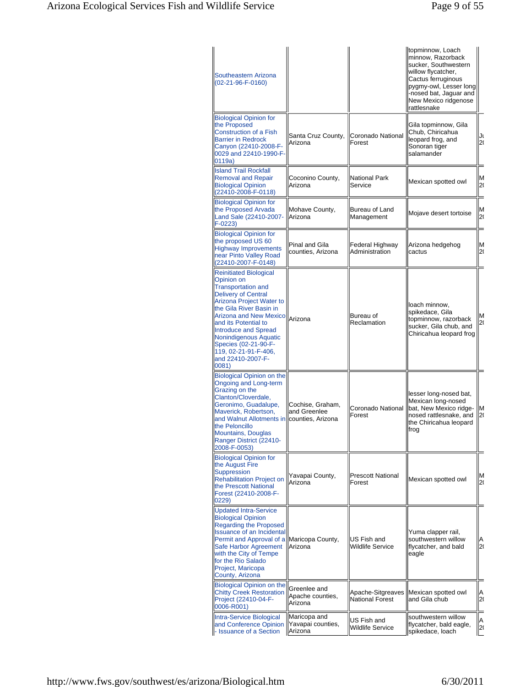| Southeastern Arizona<br>(02-21-96-F-0160)                                                                                                                                                                                                                                                                                                                    |                                              |                                             | topminnow, Loach<br>minnow, Razorback<br>sucker, Southwestern<br>willow flycatcher,<br>Cactus ferruginous<br>pygmy-owl, Lesser long<br>-nosed bat, Jaguar and<br>New Mexico ridgenose<br>rattlesnake |          |
|--------------------------------------------------------------------------------------------------------------------------------------------------------------------------------------------------------------------------------------------------------------------------------------------------------------------------------------------------------------|----------------------------------------------|---------------------------------------------|------------------------------------------------------------------------------------------------------------------------------------------------------------------------------------------------------|----------|
| <b>Biological Opinion for</b><br>the Proposed<br><b>Construction of a Fish</b><br><b>Barrier in Redrock</b><br>Canyon (22410-2008-F-<br>0029 and 22410-1990-F-<br>0119a)                                                                                                                                                                                     | Santa Cruz County,<br>Arizona                | Coronado National<br>Forest                 | Gila topminnow, Gila<br>Chub, Chiricahua<br>leopard frog, and<br>Sonoran tiger<br>salamander                                                                                                         | Jι<br>2( |
| <b>Island Trail Rockfall</b><br><b>Removal and Repair</b><br><b>Biological Opinion</b><br>(22410-2008-F-0118)                                                                                                                                                                                                                                                | Coconino County,<br>Arizona                  | <b>National Park</b><br>Service             | Mexican spotted owl                                                                                                                                                                                  | ΙM<br>20 |
| <b>Biological Opinion for</b><br>the Proposed Arvada<br>Land Sale (22410-2007-<br>$F-0223$                                                                                                                                                                                                                                                                   | Mohave County,<br>Arizona                    | Bureau of Land<br>Management                | Mojave desert tortoise                                                                                                                                                                               | M<br>20  |
| <b>Biological Opinion for</b><br>the proposed US 60<br><b>Highway Improvements</b><br>near Pinto Valley Road<br>(22410-2007-F-0148)                                                                                                                                                                                                                          | Pinal and Gila<br>counties. Arizona          | Federal Highway<br>Administration           | Arizona hedgehog<br>cactus                                                                                                                                                                           | ΙM<br>2( |
| <b>Reinitiated Biological</b><br>Opinion on<br><b>Transportation and</b><br><b>Delivery of Central</b><br>Arizona Project Water to<br>the Gila River Basin in<br><b>Arizona and New Mexico</b><br>and its Potential to<br><b>Introduce and Spread</b><br>Nonindigenous Aquatic<br>Species (02-21-90-F-<br>119, 02-21-91-F-406,<br>and 22410-2007-F-<br>0081) | lArizona                                     | Bureau of<br>Reclamation                    | loach minnow,<br>spikedace, Gila<br>topminnow, razorback<br>sucker, Gila chub, and<br>Chiricahua leopard frog                                                                                        | M<br>2(  |
| <b>Biological Opinion on the</b><br>Ongoing and Long-term<br>Grazing on the<br>Clanton/Cloverdale.<br>Geronimo, Guadalupe,<br>Maverick, Robertson,<br>and Walnut Allotments in counties, Arizona<br>the Peloncillo<br>Mountains, Douglas<br>Ranger District (22410-<br>2008-F-0053)                                                                          | Cochise, Graham,<br>and Greenlee             | Coronado National<br>Forest                 | lesser long-nosed bat,<br>Mexican long-nosed<br>bat, New Mexico ridge-<br>nosed rattlesnake, and<br>the Chiricahua leopard<br>frog                                                                   | lΜ<br>2( |
| <b>Biological Opinion for</b><br>the August Fire<br>Suppression<br><b>Rehabilitation Project on</b><br>the Prescott National<br>Forest (22410-2008-F-<br>0229)                                                                                                                                                                                               | Yavapai County,<br>Arizona                   | <b>Prescott National</b><br>Forest          | Mexican spotted owl                                                                                                                                                                                  | ΙM<br>20 |
| <b>Updated Intra-Service</b><br><b>Biological Opinion</b><br><b>Regarding the Proposed</b><br><b>Issuance of an Incidental</b><br>Permit and Approval of a Maricopa County,<br>Safe Harbor Agreement<br>with the City of Tempe<br>for the Rio Salado<br>Project, Maricopa<br>County, Arizona                                                                 | Arizona                                      | US Fish and<br>Wildlife Service             | Yuma clapper rail,<br>southwestern willow<br>flycatcher, and bald<br>eagle                                                                                                                           | A<br>20  |
| <b>Biological Opinion on the</b><br><b>Chitty Creek Restoration</b><br>Project (22410-04-F-<br>0006-R001)                                                                                                                                                                                                                                                    | Greenlee and<br>Apache counties,<br>Arizona  | Apache-Sitgreaves<br><b>National Forest</b> | Mexican spotted owl<br>and Gila chub                                                                                                                                                                 | A<br>20  |
| Intra-Service Biological<br>and Conference Opinion<br>- Issuance of a Section                                                                                                                                                                                                                                                                                | Maricopa and<br>Yavapai counties,<br>Arizona | US Fish and<br>Wildlife Service             | southwestern willow<br>flycatcher, bald eagle,<br>spikedace, loach                                                                                                                                   | A<br> z  |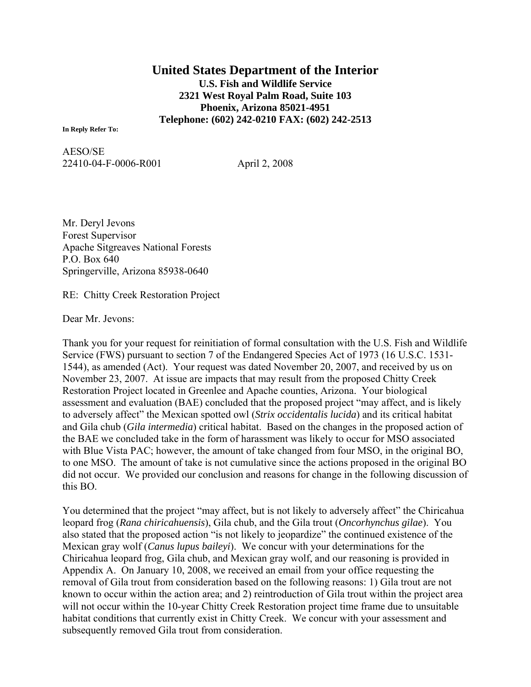**United States Department of the Interior U.S. Fish and Wildlife Service 2321 West Royal Palm Road, Suite 103 Phoenix, Arizona 85021-4951 Telephone: (602) 242-0210 FAX: (602) 242-2513** 

**In Reply Refer To:**

AESO/SE 22410-04-F-0006-R001 April 2, 2008

Mr. Deryl Jevons Forest Supervisor Apache Sitgreaves National Forests P.O. Box 640 Springerville, Arizona 85938-0640

RE: Chitty Creek Restoration Project

Dear Mr. Jevons:

Thank you for your request for reinitiation of formal consultation with the U.S. Fish and Wildlife Service (FWS) pursuant to section 7 of the Endangered Species Act of 1973 (16 U.S.C. 1531- 1544), as amended (Act). Your request was dated November 20, 2007, and received by us on November 23, 2007. At issue are impacts that may result from the proposed Chitty Creek Restoration Project located in Greenlee and Apache counties, Arizona. Your biological assessment and evaluation (BAE) concluded that the proposed project "may affect, and is likely to adversely affect" the Mexican spotted owl (*Strix occidentalis lucida*) and its critical habitat and Gila chub (*Gila intermedia*) critical habitat. Based on the changes in the proposed action of the BAE we concluded take in the form of harassment was likely to occur for MSO associated with Blue Vista PAC; however, the amount of take changed from four MSO, in the original BO, to one MSO. The amount of take is not cumulative since the actions proposed in the original BO did not occur. We provided our conclusion and reasons for change in the following discussion of this BO.

You determined that the project "may affect, but is not likely to adversely affect" the Chiricahua leopard frog (*Rana chiricahuensis*), Gila chub, and the Gila trout (*Oncorhynchus gilae*). You also stated that the proposed action "is not likely to jeopardize" the continued existence of the Mexican gray wolf (*Canus lupus baileyi*). We concur with your determinations for the Chiricahua leopard frog, Gila chub, and Mexican gray wolf, and our reasoning is provided in Appendix A. On January 10, 2008, we received an email from your office requesting the removal of Gila trout from consideration based on the following reasons: 1) Gila trout are not known to occur within the action area; and 2) reintroduction of Gila trout within the project area will not occur within the 10-year Chitty Creek Restoration project time frame due to unsuitable habitat conditions that currently exist in Chitty Creek. We concur with your assessment and subsequently removed Gila trout from consideration.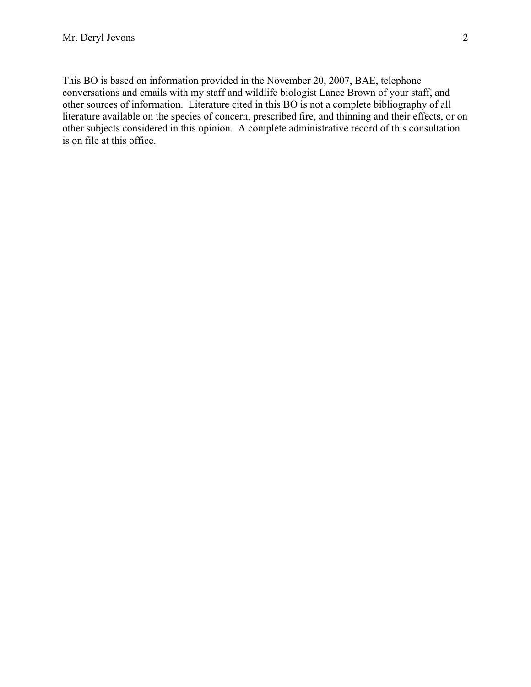This BO is based on information provided in the November 20, 2007, BAE, telephone conversations and emails with my staff and wildlife biologist Lance Brown of your staff, and other sources of information. Literature cited in this BO is not a complete bibliography of all literature available on the species of concern, prescribed fire, and thinning and their effects, or on other subjects considered in this opinion. A complete administrative record of this consultation is on file at this office.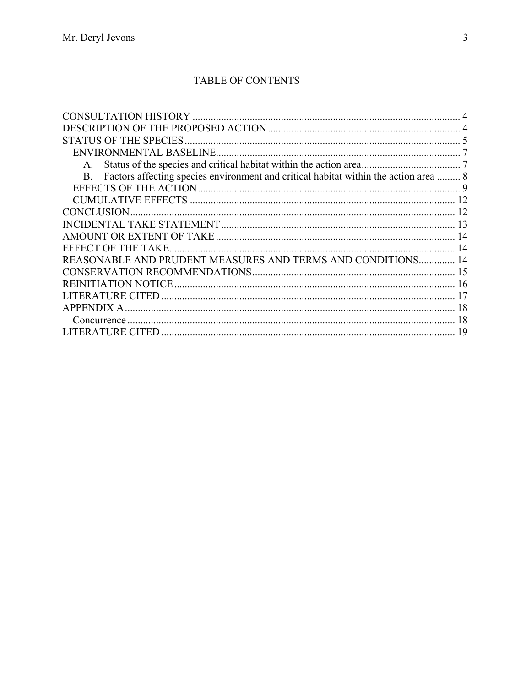# TABLE OF CONTENTS

| Factors affecting species environment and critical habitat within the action area  8<br>В. |    |
|--------------------------------------------------------------------------------------------|----|
|                                                                                            |    |
|                                                                                            |    |
| <b>CONCLUSION</b>                                                                          |    |
|                                                                                            | 13 |
|                                                                                            |    |
| EFFECT OF THE TAKE.                                                                        | 14 |
| REASONABLE AND PRUDENT MEASURES AND TERMS AND CONDITIONS 14                                |    |
|                                                                                            |    |
|                                                                                            |    |
|                                                                                            |    |
| APPENDIX A                                                                                 | 18 |
|                                                                                            | 18 |
|                                                                                            | 19 |
|                                                                                            |    |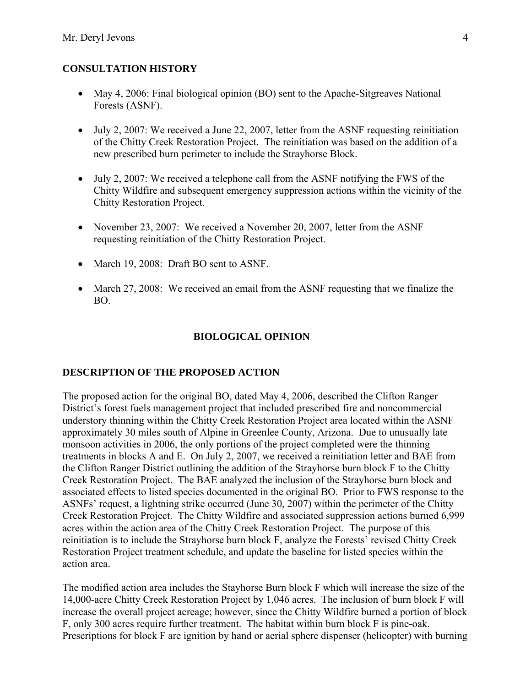#### <span id="page-5-0"></span>**CONSULTATION HISTORY**

- May 4, 2006: Final biological opinion (BO) sent to the Apache-Sitgreaves National Forests (ASNF).
- July 2, 2007: We received a June 22, 2007, letter from the ASNF requesting reinitiation of the Chitty Creek Restoration Project. The reinitiation was based on the addition of a new prescribed burn perimeter to include the Strayhorse Block.
- July 2, 2007: We received a telephone call from the ASNF notifying the FWS of the Chitty Wildfire and subsequent emergency suppression actions within the vicinity of the Chitty Restoration Project.
- November 23, 2007: We received a November 20, 2007, letter from the ASNF requesting reinitiation of the Chitty Restoration Project.
- March 19, 2008: Draft BO sent to ASNF.
- March 27, 2008: We received an email from the ASNF requesting that we finalize the BO.

### **BIOLOGICAL OPINION**

#### **DESCRIPTION OF THE PROPOSED ACTION**

The proposed action for the original BO, dated May 4, 2006, described the Clifton Ranger District's forest fuels management project that included prescribed fire and noncommercial understory thinning within the Chitty Creek Restoration Project area located within the ASNF approximately 30 miles south of Alpine in Greenlee County, Arizona. Due to unusually late monsoon activities in 2006, the only portions of the project completed were the thinning treatments in blocks A and E. On July 2, 2007, we received a reinitiation letter and BAE from the Clifton Ranger District outlining the addition of the Strayhorse burn block F to the Chitty Creek Restoration Project. The BAE analyzed the inclusion of the Strayhorse burn block and associated effects to listed species documented in the original BO. Prior to FWS response to the ASNFs' request, a lightning strike occurred (June 30, 2007) within the perimeter of the Chitty Creek Restoration Project. The Chitty Wildfire and associated suppression actions burned 6,999 acres within the action area of the Chitty Creek Restoration Project. The purpose of this reinitiation is to include the Strayhorse burn block F, analyze the Forests' revised Chitty Creek Restoration Project treatment schedule, and update the baseline for listed species within the action area.

The modified action area includes the Stayhorse Burn block F which will increase the size of the 14,000-acre Chitty Creek Restoration Project by 1,046 acres. The inclusion of burn block F will increase the overall project acreage; however, since the Chitty Wildfire burned a portion of block F, only 300 acres require further treatment. The habitat within burn block F is pine-oak. Prescriptions for block F are ignition by hand or aerial sphere dispenser (helicopter) with burning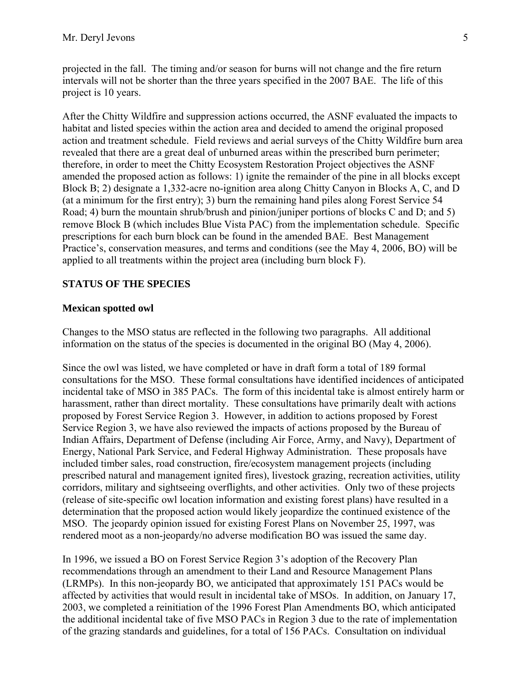<span id="page-6-0"></span>projected in the fall. The timing and/or season for burns will not change and the fire return intervals will not be shorter than the three years specified in the 2007 BAE. The life of this project is 10 years.

After the Chitty Wildfire and suppression actions occurred, the ASNF evaluated the impacts to habitat and listed species within the action area and decided to amend the original proposed action and treatment schedule. Field reviews and aerial surveys of the Chitty Wildfire burn area revealed that there are a great deal of unburned areas within the prescribed burn perimeter; therefore, in order to meet the Chitty Ecosystem Restoration Project objectives the ASNF amended the proposed action as follows: 1) ignite the remainder of the pine in all blocks except Block B; 2) designate a 1,332-acre no-ignition area along Chitty Canyon in Blocks A, C, and D (at a minimum for the first entry); 3) burn the remaining hand piles along Forest Service 54 Road; 4) burn the mountain shrub/brush and pinion/juniper portions of blocks C and D; and 5) remove Block B (which includes Blue Vista PAC) from the implementation schedule. Specific prescriptions for each burn block can be found in the amended BAE. Best Management Practice's, conservation measures, and terms and conditions (see the May 4, 2006, BO) will be applied to all treatments within the project area (including burn block F).

#### **STATUS OF THE SPECIES**

#### **Mexican spotted owl**

Changes to the MSO status are reflected in the following two paragraphs. All additional information on the status of the species is documented in the original BO (May 4, 2006).

Since the owl was listed, we have completed or have in draft form a total of 189 formal consultations for the MSO. These formal consultations have identified incidences of anticipated incidental take of MSO in 385 PACs. The form of this incidental take is almost entirely harm or harassment, rather than direct mortality. These consultations have primarily dealt with actions proposed by Forest Service Region 3. However, in addition to actions proposed by Forest Service Region 3, we have also reviewed the impacts of actions proposed by the Bureau of Indian Affairs, Department of Defense (including Air Force, Army, and Navy), Department of Energy, National Park Service, and Federal Highway Administration. These proposals have included timber sales, road construction, fire/ecosystem management projects (including prescribed natural and management ignited fires), livestock grazing, recreation activities, utility corridors, military and sightseeing overflights, and other activities.Only two of these projects (release of site-specific owl location information and existing forest plans) have resulted in a determination that the proposed action would likely jeopardize the continued existence of the MSO. The jeopardy opinion issued for existing Forest Plans on November 25, 1997, was rendered moot as a non-jeopardy/no adverse modification BO was issued the same day.

In 1996, we issued a BO on Forest Service Region 3's adoption of the Recovery Plan recommendations through an amendment to their Land and Resource Management Plans (LRMPs). In this non-jeopardy BO, we anticipated that approximately 151 PACs would be affected by activities that would result in incidental take of MSOs. In addition, on January 17, 2003, we completed a reinitiation of the 1996 Forest Plan Amendments BO, which anticipated the additional incidental take of five MSO PACs in Region 3 due to the rate of implementation of the grazing standards and guidelines, for a total of 156 PACs. Consultation on individual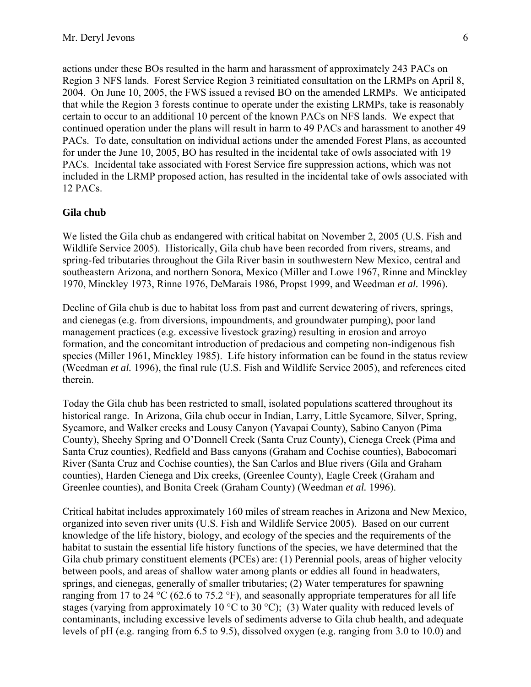actions under these BOs resulted in the harm and harassment of approximately 243 PACs on Region 3 NFS lands. Forest Service Region 3 reinitiated consultation on the LRMPs on April 8, 2004. On June 10, 2005, the FWS issued a revised BO on the amended LRMPs. We anticipated that while the Region 3 forests continue to operate under the existing LRMPs, take is reasonably certain to occur to an additional 10 percent of the known PACs on NFS lands. We expect that continued operation under the plans will result in harm to 49 PACs and harassment to another 49 PACs. To date, consultation on individual actions under the amended Forest Plans, as accounted for under the June 10, 2005, BO has resulted in the incidental take of owls associated with 19 PACs. Incidental take associated with Forest Service fire suppression actions, which was not included in the LRMP proposed action, has resulted in the incidental take of owls associated with 12 PACs.

#### **Gila chub**

We listed the Gila chub as endangered with critical habitat on November 2, 2005 (U.S. Fish and Wildlife Service 2005). Historically, Gila chub have been recorded from rivers, streams, and spring-fed tributaries throughout the Gila River basin in southwestern New Mexico, central and southeastern Arizona, and northern Sonora, Mexico (Miller and Lowe 1967, Rinne and Minckley 1970, Minckley 1973, Rinne 1976, DeMarais 1986, Propst 1999, and Weedman *et al.* 1996).

Decline of Gila chub is due to habitat loss from past and current dewatering of rivers, springs, and cienegas (e.g. from diversions, impoundments, and groundwater pumping), poor land management practices (e.g. excessive livestock grazing) resulting in erosion and arroyo formation, and the concomitant introduction of predacious and competing non-indigenous fish species (Miller 1961, Minckley 1985). Life history information can be found in the status review (Weedman *et al.* 1996), the final rule (U.S. Fish and Wildlife Service 2005), and references cited therein.

Today the Gila chub has been restricted to small, isolated populations scattered throughout its historical range. In Arizona, Gila chub occur in Indian, Larry, Little Sycamore, Silver, Spring, Sycamore, and Walker creeks and Lousy Canyon (Yavapai County), Sabino Canyon (Pima County), Sheehy Spring and O'Donnell Creek (Santa Cruz County), Cienega Creek (Pima and Santa Cruz counties), Redfield and Bass canyons (Graham and Cochise counties), Babocomari River (Santa Cruz and Cochise counties), the San Carlos and Blue rivers (Gila and Graham counties), Harden Cienega and Dix creeks, (Greenlee County), Eagle Creek (Graham and Greenlee counties), and Bonita Creek (Graham County) (Weedman *et al.* 1996).

Critical habitat includes approximately 160 miles of stream reaches in Arizona and New Mexico, organized into seven river units (U.S. Fish and Wildlife Service 2005). Based on our current knowledge of the life history, biology, and ecology of the species and the requirements of the habitat to sustain the essential life history functions of the species, we have determined that the Gila chub primary constituent elements (PCEs) are: (1) Perennial pools, areas of higher velocity between pools, and areas of shallow water among plants or eddies all found in headwaters, springs, and cienegas, generally of smaller tributaries; (2) Water temperatures for spawning ranging from 17 to 24  $\rm{°C}$  (62.6 to 75.2  $\rm{°F}$ ), and seasonally appropriate temperatures for all life stages (varying from approximately 10 °C to 30 °C); (3) Water quality with reduced levels of contaminants, including excessive levels of sediments adverse to Gila chub health, and adequate levels of pH (e.g. ranging from 6.5 to 9.5), dissolved oxygen (e.g. ranging from 3.0 to 10.0) and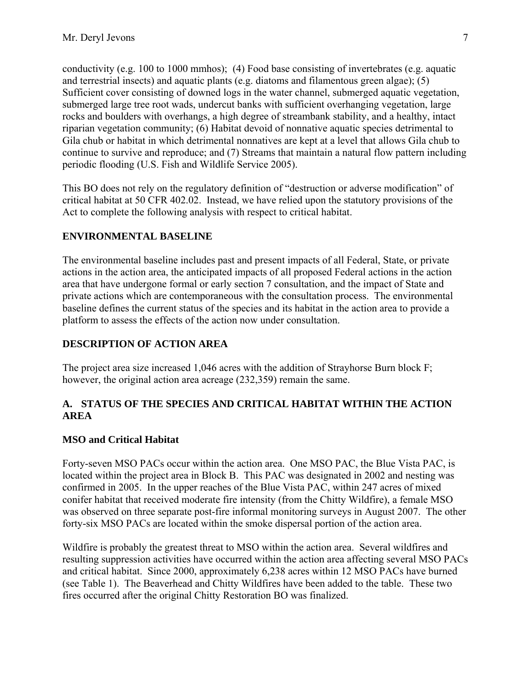<span id="page-8-0"></span>conductivity (e.g. 100 to 1000 mmhos); (4) Food base consisting of invertebrates (e.g. aquatic and terrestrial insects) and aquatic plants (e.g. diatoms and filamentous green algae); (5) Sufficient cover consisting of downed logs in the water channel, submerged aquatic vegetation, submerged large tree root wads, undercut banks with sufficient overhanging vegetation, large rocks and boulders with overhangs, a high degree of streambank stability, and a healthy, intact riparian vegetation community; (6) Habitat devoid of nonnative aquatic species detrimental to Gila chub or habitat in which detrimental nonnatives are kept at a level that allows Gila chub to continue to survive and reproduce; and (7) Streams that maintain a natural flow pattern including periodic flooding (U.S. Fish and Wildlife Service 2005).

This BO does not rely on the regulatory definition of "destruction or adverse modification" of critical habitat at 50 CFR 402.02. Instead, we have relied upon the statutory provisions of the Act to complete the following analysis with respect to critical habitat.

## **ENVIRONMENTAL BASELINE**

The environmental baseline includes past and present impacts of all Federal, State, or private actions in the action area, the anticipated impacts of all proposed Federal actions in the action area that have undergone formal or early section 7 consultation, and the impact of State and private actions which are contemporaneous with the consultation process. The environmental baseline defines the current status of the species and its habitat in the action area to provide a platform to assess the effects of the action now under consultation.

## **DESCRIPTION OF ACTION AREA**

The project area size increased 1,046 acres with the addition of Strayhorse Burn block F; however, the original action area acreage (232,359) remain the same.

### **A. STATUS OF THE SPECIES AND CRITICAL HABITAT WITHIN THE ACTION AREA**

#### **MSO and Critical Habitat**

Forty-seven MSO PACs occur within the action area. One MSO PAC, the Blue Vista PAC, is located within the project area in Block B. This PAC was designated in 2002 and nesting was confirmed in 2005. In the upper reaches of the Blue Vista PAC, within 247 acres of mixed conifer habitat that received moderate fire intensity (from the Chitty Wildfire), a female MSO was observed on three separate post-fire informal monitoring surveys in August 2007. The other forty-six MSO PACs are located within the smoke dispersal portion of the action area.

Wildfire is probably the greatest threat to MSO within the action area. Several wildfires and resulting suppression activities have occurred within the action area affecting several MSO PACs and critical habitat. Since 2000, approximately 6,238 acres within 12 MSO PACs have burned (see Table 1). The Beaverhead and Chitty Wildfires have been added to the table. These two fires occurred after the original Chitty Restoration BO was finalized.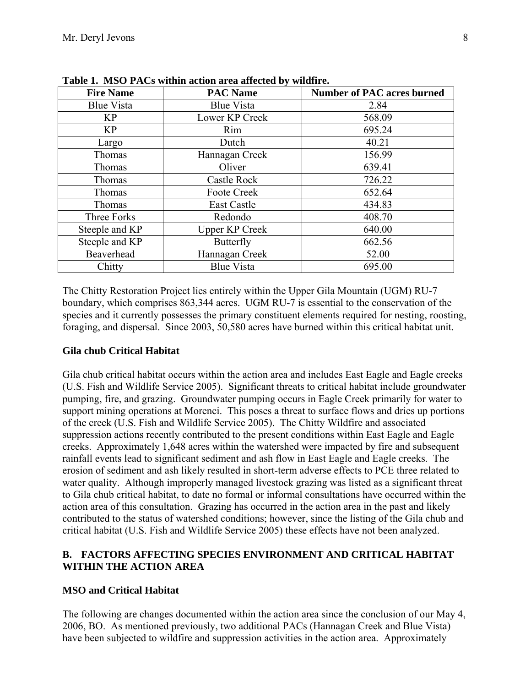| <b>Fire Name</b>   | <b>PAC Name</b>       | <b>Number of PAC acres burned</b> |
|--------------------|-----------------------|-----------------------------------|
| <b>Blue Vista</b>  | Blue Vista            | 2.84                              |
| <b>KP</b>          | Lower KP Creek        | 568.09                            |
| <b>KP</b>          | Rim                   | 695.24                            |
| Largo              | Dutch                 | 40.21                             |
| Thomas             | Hannagan Creek        | 156.99                            |
| Thomas             | Oliver                | 639.41                            |
| Thomas             | Castle Rock           | 726.22                            |
| <b>Thomas</b>      | Foote Creek           | 652.64                            |
| Thomas             | <b>East Castle</b>    | 434.83                            |
| <b>Three Forks</b> | Redondo               | 408.70                            |
| Steeple and KP     | <b>Upper KP Creek</b> | 640.00                            |
| Steeple and KP     | <b>Butterfly</b>      | 662.56                            |
| Beaverhead         | Hannagan Creek        | 52.00                             |
| Chitty             | <b>Blue Vista</b>     | 695.00                            |

<span id="page-9-0"></span>**Table 1. MSO PACs within action area affected by wildfire.** 

The Chitty Restoration Project lies entirely within the Upper Gila Mountain (UGM) RU-7 boundary, which comprises 863,344 acres. UGM RU-7 is essential to the conservation of the species and it currently possesses the primary constituent elements required for nesting, roosting, foraging, and dispersal. Since 2003, 50,580 acres have burned within this critical habitat unit.

#### **Gila chub Critical Habitat**

Gila chub critical habitat occurs within the action area and includes East Eagle and Eagle creeks (U.S. Fish and Wildlife Service 2005). Significant threats to critical habitat include groundwater pumping, fire, and grazing. Groundwater pumping occurs in Eagle Creek primarily for water to support mining operations at Morenci. This poses a threat to surface flows and dries up portions of the creek (U.S. Fish and Wildlife Service 2005). The Chitty Wildfire and associated suppression actions recently contributed to the present conditions within East Eagle and Eagle creeks. Approximately 1,648 acres within the watershed were impacted by fire and subsequent rainfall events lead to significant sediment and ash flow in East Eagle and Eagle creeks. The erosion of sediment and ash likely resulted in short-term adverse effects to PCE three related to water quality. Although improperly managed livestock grazing was listed as a significant threat to Gila chub critical habitat, to date no formal or informal consultations have occurred within the action area of this consultation. Grazing has occurred in the action area in the past and likely contributed to the status of watershed conditions; however, since the listing of the Gila chub and critical habitat (U.S. Fish and Wildlife Service 2005) these effects have not been analyzed.

#### **B. FACTORS AFFECTING SPECIES ENVIRONMENT AND CRITICAL HABITAT WITHIN THE ACTION AREA**

#### **MSO and Critical Habitat**

The following are changes documented within the action area since the conclusion of our May 4, 2006, BO. As mentioned previously, two additional PACs (Hannagan Creek and Blue Vista) have been subjected to wildfire and suppression activities in the action area. Approximately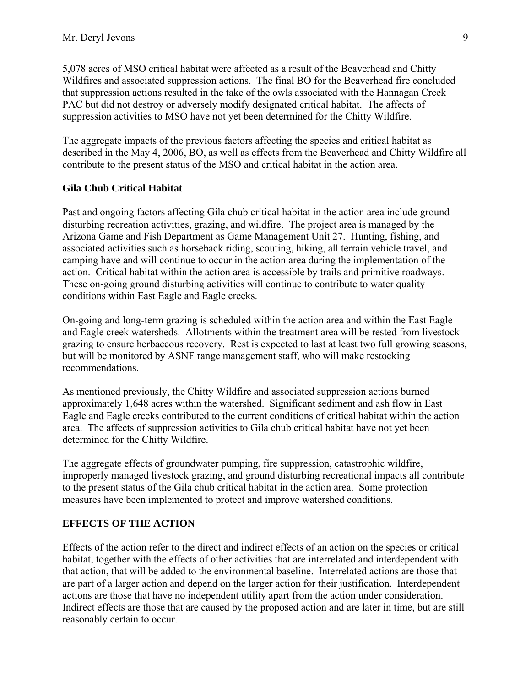<span id="page-10-0"></span>5,078 acres of MSO critical habitat were affected as a result of the Beaverhead and Chitty Wildfires and associated suppression actions. The final BO for the Beaverhead fire concluded that suppression actions resulted in the take of the owls associated with the Hannagan Creek PAC but did not destroy or adversely modify designated critical habitat. The affects of suppression activities to MSO have not yet been determined for the Chitty Wildfire.

The aggregate impacts of the previous factors affecting the species and critical habitat as described in the May 4, 2006, BO, as well as effects from the Beaverhead and Chitty Wildfire all contribute to the present status of the MSO and critical habitat in the action area.

#### **Gila Chub Critical Habitat**

Past and ongoing factors affecting Gila chub critical habitat in the action area include ground disturbing recreation activities, grazing, and wildfire. The project area is managed by the Arizona Game and Fish Department as Game Management Unit 27. Hunting, fishing, and associated activities such as horseback riding, scouting, hiking, all terrain vehicle travel, and camping have and will continue to occur in the action area during the implementation of the action. Critical habitat within the action area is accessible by trails and primitive roadways. These on-going ground disturbing activities will continue to contribute to water quality conditions within East Eagle and Eagle creeks.

On-going and long-term grazing is scheduled within the action area and within the East Eagle and Eagle creek watersheds. Allotments within the treatment area will be rested from livestock grazing to ensure herbaceous recovery. Rest is expected to last at least two full growing seasons, but will be monitored by ASNF range management staff, who will make restocking recommendations.

As mentioned previously, the Chitty Wildfire and associated suppression actions burned approximately 1,648 acres within the watershed. Significant sediment and ash flow in East Eagle and Eagle creeks contributed to the current conditions of critical habitat within the action area. The affects of suppression activities to Gila chub critical habitat have not yet been determined for the Chitty Wildfire.

The aggregate effects of groundwater pumping, fire suppression, catastrophic wildfire, improperly managed livestock grazing, and ground disturbing recreational impacts all contribute to the present status of the Gila chub critical habitat in the action area. Some protection measures have been implemented to protect and improve watershed conditions.

#### **EFFECTS OF THE ACTION**

Effects of the action refer to the direct and indirect effects of an action on the species or critical habitat, together with the effects of other activities that are interrelated and interdependent with that action, that will be added to the environmental baseline. Interrelated actions are those that are part of a larger action and depend on the larger action for their justification. Interdependent actions are those that have no independent utility apart from the action under consideration. Indirect effects are those that are caused by the proposed action and are later in time, but are still reasonably certain to occur.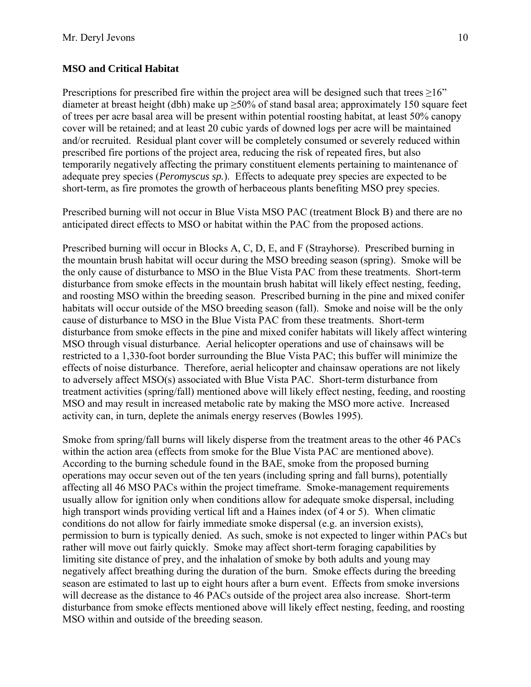### **MSO and Critical Habitat**

Prescriptions for prescribed fire within the project area will be designed such that trees  $\geq 16$ " diameter at breast height (dbh) make up  $\geq$ 50% of stand basal area; approximately 150 square feet of trees per acre basal area will be present within potential roosting habitat, at least 50% canopy cover will be retained; and at least 20 cubic yards of downed logs per acre will be maintained and/or recruited. Residual plant cover will be completely consumed or severely reduced within prescribed fire portions of the project area, reducing the risk of repeated fires, but also temporarily negatively affecting the primary constituent elements pertaining to maintenance of adequate prey species (*Peromyscus sp.*). Effects to adequate prey species are expected to be short-term, as fire promotes the growth of herbaceous plants benefiting MSO prey species.

Prescribed burning will not occur in Blue Vista MSO PAC (treatment Block B) and there are no anticipated direct effects to MSO or habitat within the PAC from the proposed actions.

Prescribed burning will occur in Blocks A, C, D, E, and F (Strayhorse). Prescribed burning in the mountain brush habitat will occur during the MSO breeding season (spring). Smoke will be the only cause of disturbance to MSO in the Blue Vista PAC from these treatments. Short-term disturbance from smoke effects in the mountain brush habitat will likely effect nesting, feeding, and roosting MSO within the breeding season. Prescribed burning in the pine and mixed conifer habitats will occur outside of the MSO breeding season (fall). Smoke and noise will be the only cause of disturbance to MSO in the Blue Vista PAC from these treatments. Short-term disturbance from smoke effects in the pine and mixed conifer habitats will likely affect wintering MSO through visual disturbance. Aerial helicopter operations and use of chainsaws will be restricted to a 1,330-foot border surrounding the Blue Vista PAC; this buffer will minimize the effects of noise disturbance. Therefore, aerial helicopter and chainsaw operations are not likely to adversely affect MSO(s) associated with Blue Vista PAC. Short-term disturbance from treatment activities (spring/fall) mentioned above will likely effect nesting, feeding, and roosting MSO and may result in increased metabolic rate by making the MSO more active. Increased activity can, in turn, deplete the animals energy reserves (Bowles 1995).

Smoke from spring/fall burns will likely disperse from the treatment areas to the other 46 PACs within the action area (effects from smoke for the Blue Vista PAC are mentioned above). According to the burning schedule found in the BAE, smoke from the proposed burning operations may occur seven out of the ten years (including spring and fall burns), potentially affecting all 46 MSO PACs within the project timeframe. Smoke-management requirements usually allow for ignition only when conditions allow for adequate smoke dispersal, including high transport winds providing vertical lift and a Haines index (of 4 or 5). When climatic conditions do not allow for fairly immediate smoke dispersal (e.g. an inversion exists), permission to burn is typically denied. As such, smoke is not expected to linger within PACs but rather will move out fairly quickly. Smoke may affect short-term foraging capabilities by limiting site distance of prey, and the inhalation of smoke by both adults and young may negatively affect breathing during the duration of the burn. Smoke effects during the breeding season are estimated to last up to eight hours after a burn event. Effects from smoke inversions will decrease as the distance to 46 PACs outside of the project area also increase. Short-term disturbance from smoke effects mentioned above will likely effect nesting, feeding, and roosting MSO within and outside of the breeding season.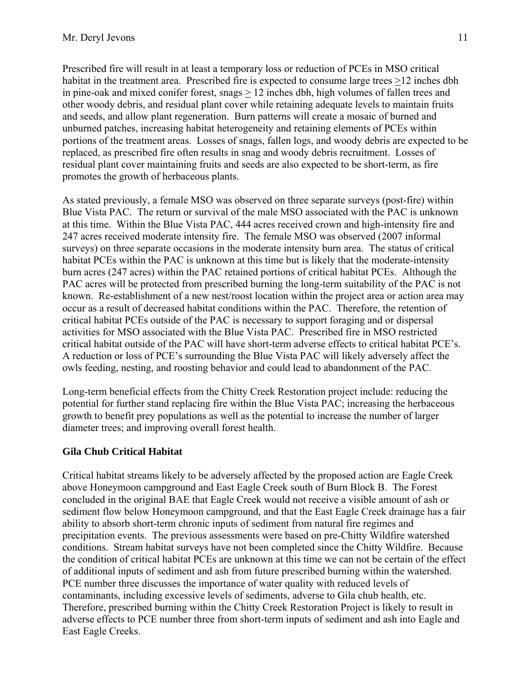Prescribed fire will result in at least a temporary loss or reduction of PCEs in MSO critical habitat in the treatment area. Prescribed fire is expected to consume large trees >12 inches dbh in pine-oak and mixed conifer forest, snags > 12 inches dbh, high volumes of fallen trees and other woody debris, and residual plant cover while retaining adequate levels to maintain fruits and seeds, and allow plant regeneration. Burn patterns will create a mosaic of burned and unburned patches, increasing habitat heterogeneity and retaining elements of PCEs within portions of the treatment areas. Losses of snags, fallen logs, and woody debris are expected to be replaced, as prescribed fire often results in snag and woody debris recruitment. Losses of residual plant cover maintaining fruits and seeds are also expected to be short-term, as fire promotes the growth of herbaceous plants.

As stated previously, a female MSO was observed on three separate surveys (post-fire) within Blue Vista PAC. The return or survival of the male MSO associated with the PAC is unknown at this time. Within the Blue Vista PAC, 444 acres received crown and high-intensity fire and 247 acres received moderate intensity fire. The female MSO was observed (2007 informal surveys) on three separate occasions in the moderate intensity burn area. The status of critical habitat PCEs within the PAC is unknown at this time but is likely that the moderate-intensity burn acres (247 acres) within the PAC retained portions of critical habitat PCEs. Although the PAC acres will be protected from prescribed burning the long-term suitability of the PAC is not known. Re-establishment of a new nest/roost location within the project area or action area may occur as a result of decreased habitat conditions within the PAC. Therefore, the retention of critical habitat PCEs outside of the PAC is necessary to support foraging and or dispersal activities for MSO associated with the Blue Vista PAC. Prescribed fire in MSO restricted critical habitat outside of the PAC will have short-term adverse effects to critical habitat PCE's. A reduction or loss of PCE's surrounding the Blue Vista PAC will likely adversely affect the owls feeding, nesting, and roosting behavior and could lead to abandonment of the PAC.

Long-term beneficial effects from the Chitty Creek Restoration project include: reducing the potential for further stand replacing fire within the Blue Vista PAC; increasing the herbaceous growth to benefit prey populations as well as the potential to increase the number of larger diameter trees; and improving overall forest health.

## **Gila Chub Critical Habitat**

Critical habitat streams likely to be adversely affected by the proposed action are Eagle Creek above Honeymoon campground and East Eagle Creek south of Burn Block B. The Forest concluded in the original BAE that Eagle Creek would not receive a visible amount of ash or sediment flow below Honeymoon campground, and that the East Eagle Creek drainage has a fair ability to absorb short-term chronic inputs of sediment from natural fire regimes and precipitation events. The previous assessments were based on pre-Chitty Wildfire watershed conditions. Stream habitat surveys have not been completed since the Chitty Wildfire. Because the condition of critical habitat PCEs are unknown at this time we can not be certain of the effect of additional inputs of sediment and ash from future prescribed burning within the watershed. PCE number three discusses the importance of water quality with reduced levels of contaminants, including excessive levels of sediments, adverse to Gila chub health, etc. Therefore, prescribed burning within the Chitty Creek Restoration Project is likely to result in adverse effects to PCE number three from short-term inputs of sediment and ash into Eagle and East Eagle Creeks.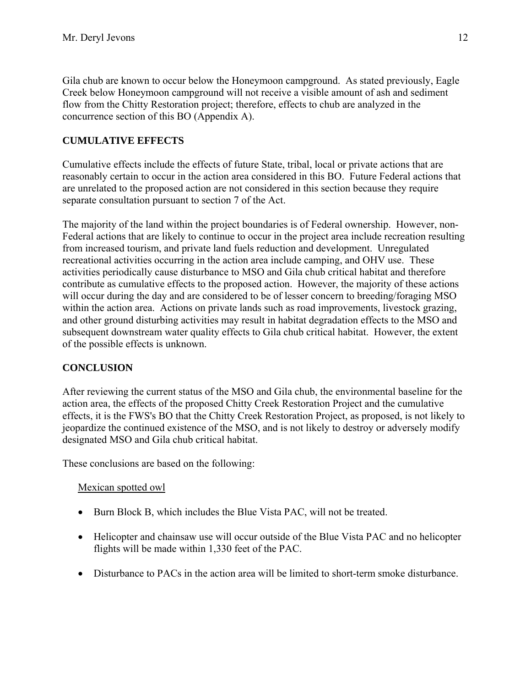<span id="page-13-0"></span>Gila chub are known to occur below the Honeymoon campground. As stated previously, Eagle Creek below Honeymoon campground will not receive a visible amount of ash and sediment flow from the Chitty Restoration project; therefore, effects to chub are analyzed in the concurrence section of this BO (Appendix A).

# **CUMULATIVE EFFECTS**

Cumulative effects include the effects of future State, tribal, local or private actions that are reasonably certain to occur in the action area considered in this BO. Future Federal actions that are unrelated to the proposed action are not considered in this section because they require separate consultation pursuant to section 7 of the Act.

The majority of the land within the project boundaries is of Federal ownership. However, non-Federal actions that are likely to continue to occur in the project area include recreation resulting from increased tourism, and private land fuels reduction and development. Unregulated recreational activities occurring in the action area include camping, and OHV use. These activities periodically cause disturbance to MSO and Gila chub critical habitat and therefore contribute as cumulative effects to the proposed action. However, the majority of these actions will occur during the day and are considered to be of lesser concern to breeding/foraging MSO within the action area. Actions on private lands such as road improvements, livestock grazing, and other ground disturbing activities may result in habitat degradation effects to the MSO and subsequent downstream water quality effects to Gila chub critical habitat. However, the extent of the possible effects is unknown.

## **CONCLUSION**

After reviewing the current status of the MSO and Gila chub, the environmental baseline for the action area, the effects of the proposed Chitty Creek Restoration Project and the cumulative effects, it is the FWS's BO that the Chitty Creek Restoration Project, as proposed, is not likely to jeopardize the continued existence of the MSO, and is not likely to destroy or adversely modify designated MSO and Gila chub critical habitat.

These conclusions are based on the following:

#### Mexican spotted owl

- Burn Block B, which includes the Blue Vista PAC, will not be treated.
- Helicopter and chainsaw use will occur outside of the Blue Vista PAC and no helicopter flights will be made within 1,330 feet of the PAC.
- Disturbance to PACs in the action area will be limited to short-term smoke disturbance.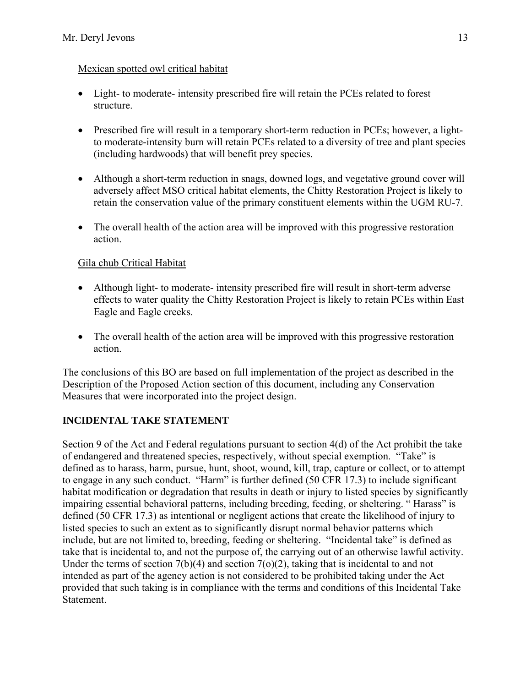## <span id="page-14-0"></span>Mexican spotted owl critical habitat

- Light- to moderate- intensity prescribed fire will retain the PCEs related to forest structure.
- Prescribed fire will result in a temporary short-term reduction in PCEs; however, a lightto moderate-intensity burn will retain PCEs related to a diversity of tree and plant species (including hardwoods) that will benefit prey species.
- Although a short-term reduction in snags, downed logs, and vegetative ground cover will adversely affect MSO critical habitat elements, the Chitty Restoration Project is likely to retain the conservation value of the primary constituent elements within the UGM RU-7.
- The overall health of the action area will be improved with this progressive restoration action.

## Gila chub Critical Habitat

- Although light- to moderate- intensity prescribed fire will result in short-term adverse effects to water quality the Chitty Restoration Project is likely to retain PCEs within East Eagle and Eagle creeks.
- The overall health of the action area will be improved with this progressive restoration action.

The conclusions of this BO are based on full implementation of the project as described in the Description of the Proposed Action section of this document, including any Conservation Measures that were incorporated into the project design.

# **INCIDENTAL TAKE STATEMENT**

Section 9 of the Act and Federal regulations pursuant to section 4(d) of the Act prohibit the take of endangered and threatened species, respectively, without special exemption. "Take" is defined as to harass, harm, pursue, hunt, shoot, wound, kill, trap, capture or collect, or to attempt to engage in any such conduct. "Harm" is further defined (50 CFR 17.3) to include significant habitat modification or degradation that results in death or injury to listed species by significantly impairing essential behavioral patterns, including breeding, feeding, or sheltering. " Harass" is defined (50 CFR 17.3) as intentional or negligent actions that create the likelihood of injury to listed species to such an extent as to significantly disrupt normal behavior patterns which include, but are not limited to, breeding, feeding or sheltering. "Incidental take" is defined as take that is incidental to, and not the purpose of, the carrying out of an otherwise lawful activity. Under the terms of section  $7(b)(4)$  and section  $7(o)(2)$ , taking that is incidental to and not intended as part of the agency action is not considered to be prohibited taking under the Act provided that such taking is in compliance with the terms and conditions of this Incidental Take Statement.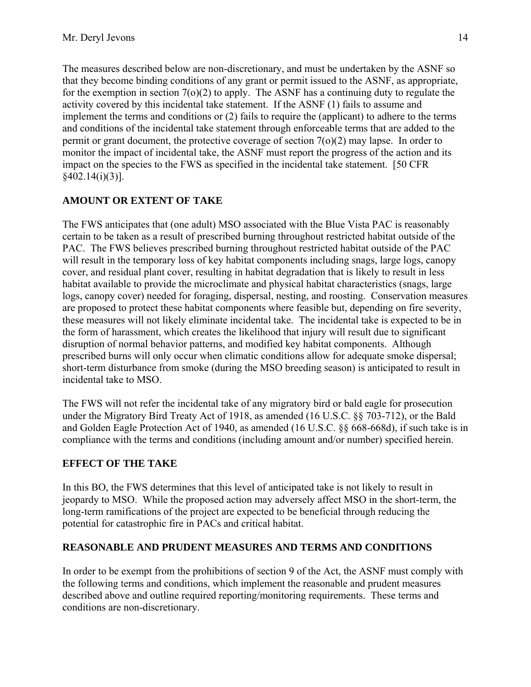<span id="page-15-0"></span>The measures described below are non-discretionary, and must be undertaken by the ASNF so that they become binding conditions of any grant or permit issued to the ASNF, as appropriate, for the exemption in section  $7(0)(2)$  to apply. The ASNF has a continuing duty to regulate the activity covered by this incidental take statement. If the ASNF (1) fails to assume and implement the terms and conditions or (2) fails to require the (applicant) to adhere to the terms and conditions of the incidental take statement through enforceable terms that are added to the permit or grant document, the protective coverage of section  $7<sub>(o)</sub>(2)$  may lapse. In order to monitor the impact of incidental take, the ASNF must report the progress of the action and its impact on the species to the FWS as specified in the incidental take statement. [50 CFR §402.14(i)(3)].

## **AMOUNT OR EXTENT OF TAKE**

The FWS anticipates that (one adult) MSO associated with the Blue Vista PAC is reasonably certain to be taken as a result of prescribed burning throughout restricted habitat outside of the PAC. The FWS believes prescribed burning throughout restricted habitat outside of the PAC will result in the temporary loss of key habitat components including snags, large logs, canopy cover, and residual plant cover, resulting in habitat degradation that is likely to result in less habitat available to provide the microclimate and physical habitat characteristics (snags, large logs, canopy cover) needed for foraging, dispersal, nesting, and roosting. Conservation measures are proposed to protect these habitat components where feasible but, depending on fire severity, these measures will not likely eliminate incidental take. The incidental take is expected to be in the form of harassment, which creates the likelihood that injury will result due to significant disruption of normal behavior patterns, and modified key habitat components. Although prescribed burns will only occur when climatic conditions allow for adequate smoke dispersal; short-term disturbance from smoke (during the MSO breeding season) is anticipated to result in incidental take to MSO.

The FWS will not refer the incidental take of any migratory bird or bald eagle for prosecution under the Migratory Bird Treaty Act of 1918, as amended (16 U.S.C. §§ 703-712), or the Bald and Golden Eagle Protection Act of 1940, as amended (16 U.S.C. §§ 668-668d), if such take is in compliance with the terms and conditions (including amount and/or number) specified herein.

#### **EFFECT OF THE TAKE**

In this BO, the FWS determines that this level of anticipated take is not likely to result in jeopardy to MSO. While the proposed action may adversely affect MSO in the short-term, the long-term ramifications of the project are expected to be beneficial through reducing the potential for catastrophic fire in PACs and critical habitat.

#### **REASONABLE AND PRUDENT MEASURES AND TERMS AND CONDITIONS**

In order to be exempt from the prohibitions of section 9 of the Act, the ASNF must comply with the following terms and conditions, which implement the reasonable and prudent measures described above and outline required reporting/monitoring requirements. These terms and conditions are non-discretionary.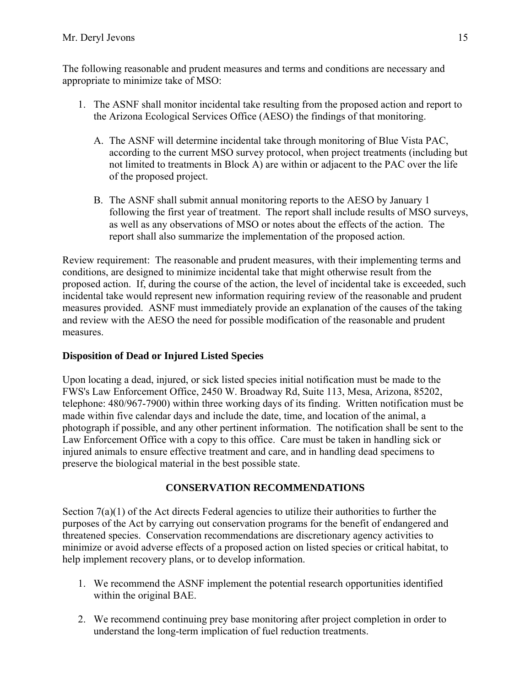<span id="page-16-0"></span>The following reasonable and prudent measures and terms and conditions are necessary and appropriate to minimize take of MSO:

- 1. The ASNF shall monitor incidental take resulting from the proposed action and report to the Arizona Ecological Services Office (AESO) the findings of that monitoring.
	- A. The ASNF will determine incidental take through monitoring of Blue Vista PAC, according to the current MSO survey protocol, when project treatments (including but not limited to treatments in Block A) are within or adjacent to the PAC over the life of the proposed project.
	- B. The ASNF shall submit annual monitoring reports to the AESO by January 1 following the first year of treatment. The report shall include results of MSO surveys, as well as any observations of MSO or notes about the effects of the action. The report shall also summarize the implementation of the proposed action.

Review requirement: The reasonable and prudent measures, with their implementing terms and conditions, are designed to minimize incidental take that might otherwise result from the proposed action. If, during the course of the action, the level of incidental take is exceeded, such incidental take would represent new information requiring review of the reasonable and prudent measures provided. ASNF must immediately provide an explanation of the causes of the taking and review with the AESO the need for possible modification of the reasonable and prudent measures.

# **Disposition of Dead or Injured Listed Species**

Upon locating a dead, injured, or sick listed species initial notification must be made to the FWS's Law Enforcement Office, 2450 W. Broadway Rd, Suite 113, Mesa, Arizona, 85202, telephone: 480/967-7900) within three working days of its finding. Written notification must be made within five calendar days and include the date, time, and location of the animal, a photograph if possible, and any other pertinent information. The notification shall be sent to the Law Enforcement Office with a copy to this office. Care must be taken in handling sick or injured animals to ensure effective treatment and care, and in handling dead specimens to preserve the biological material in the best possible state.

# **CONSERVATION RECOMMENDATIONS**

Section 7(a)(1) of the Act directs Federal agencies to utilize their authorities to further the purposes of the Act by carrying out conservation programs for the benefit of endangered and threatened species. Conservation recommendations are discretionary agency activities to minimize or avoid adverse effects of a proposed action on listed species or critical habitat, to help implement recovery plans, or to develop information.

- 1. We recommend the ASNF implement the potential research opportunities identified within the original BAE.
- 2. We recommend continuing prey base monitoring after project completion in order to understand the long-term implication of fuel reduction treatments.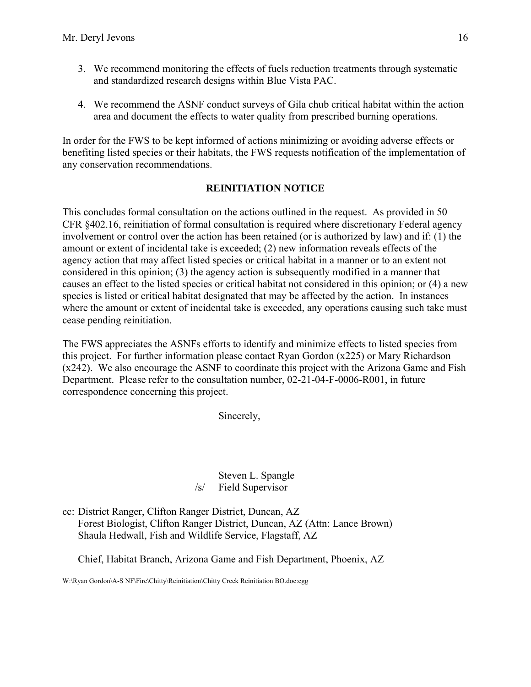- <span id="page-17-0"></span>3. We recommend monitoring the effects of fuels reduction treatments through systematic and standardized research designs within Blue Vista PAC.
- 4. We recommend the ASNF conduct surveys of Gila chub critical habitat within the action area and document the effects to water quality from prescribed burning operations.

In order for the FWS to be kept informed of actions minimizing or avoiding adverse effects or benefiting listed species or their habitats, the FWS requests notification of the implementation of any conservation recommendations.

#### **REINITIATION NOTICE**

This concludes formal consultation on the actions outlined in the request. As provided in 50 CFR §402.16, reinitiation of formal consultation is required where discretionary Federal agency involvement or control over the action has been retained (or is authorized by law) and if: (1) the amount or extent of incidental take is exceeded; (2) new information reveals effects of the agency action that may affect listed species or critical habitat in a manner or to an extent not considered in this opinion; (3) the agency action is subsequently modified in a manner that causes an effect to the listed species or critical habitat not considered in this opinion; or (4) a new species is listed or critical habitat designated that may be affected by the action. In instances where the amount or extent of incidental take is exceeded, any operations causing such take must cease pending reinitiation.

The FWS appreciates the ASNFs efforts to identify and minimize effects to listed species from this project. For further information please contact Ryan Gordon (x225) or Mary Richardson (x242). We also encourage the ASNF to coordinate this project with the Arizona Game and Fish Department. Please refer to the consultation number, 02-21-04-F-0006-R001, in future correspondence concerning this project.

Sincerely,

 Steven L. Spangle /s/ Field Supervisor

cc: District Ranger, Clifton Ranger District, Duncan, AZ Forest Biologist, Clifton Ranger District, Duncan, AZ (Attn: Lance Brown) Shaula Hedwall, Fish and Wildlife Service, Flagstaff, AZ

Chief, Habitat Branch, Arizona Game and Fish Department, Phoenix, AZ

W:\Ryan Gordon\A-S NF\Fire\Chitty\Reinitiation\Chitty Creek Reinitiation BO.doc:cgg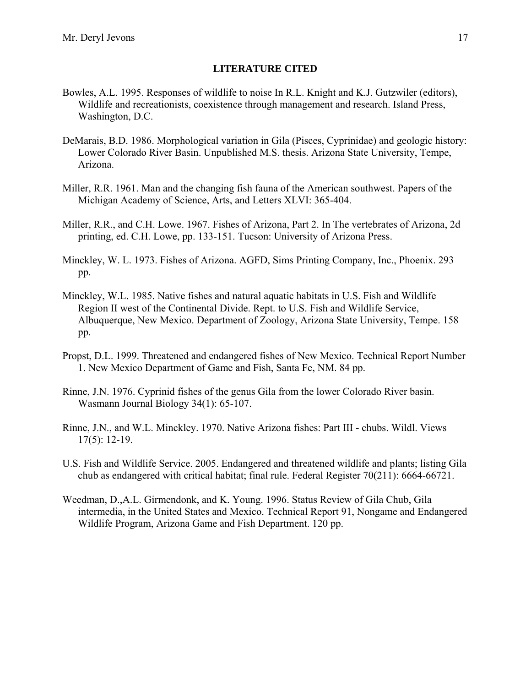#### **LITERATURE CITED**

- <span id="page-18-0"></span>Bowles, A.L. 1995. Responses of wildlife to noise In R.L. Knight and K.J. Gutzwiler (editors), Wildlife and recreationists, coexistence through management and research. Island Press, Washington, D.C.
- DeMarais, B.D. 1986. Morphological variation in Gila (Pisces, Cyprinidae) and geologic history: Lower Colorado River Basin. Unpublished M.S. thesis. Arizona State University, Tempe, Arizona.
- Miller, R.R. 1961. Man and the changing fish fauna of the American southwest. Papers of the Michigan Academy of Science, Arts, and Letters XLVI: 365-404.
- Miller, R.R., and C.H. Lowe. 1967. Fishes of Arizona, Part 2. In The vertebrates of Arizona, 2d printing, ed. C.H. Lowe, pp. 133-151. Tucson: University of Arizona Press.
- Minckley, W. L. 1973. Fishes of Arizona. AGFD, Sims Printing Company, Inc., Phoenix. 293 pp.
- Minckley, W.L. 1985. Native fishes and natural aquatic habitats in U.S. Fish and Wildlife Region II west of the Continental Divide. Rept. to U.S. Fish and Wildlife Service, Albuquerque, New Mexico. Department of Zoology, Arizona State University, Tempe. 158 pp.
- Propst, D.L. 1999. Threatened and endangered fishes of New Mexico. Technical Report Number 1. New Mexico Department of Game and Fish, Santa Fe, NM. 84 pp.
- Rinne, J.N. 1976. Cyprinid fishes of the genus Gila from the lower Colorado River basin. Wasmann Journal Biology 34(1): 65-107.
- Rinne, J.N., and W.L. Minckley. 1970. Native Arizona fishes: Part III chubs. Wildl. Views 17(5): 12-19.
- U.S. Fish and Wildlife Service. 2005. Endangered and threatened wildlife and plants; listing Gila chub as endangered with critical habitat; final rule. Federal Register 70(211): 6664-66721.
- Weedman, D.,A.L. Girmendonk, and K. Young. 1996. Status Review of Gila Chub, Gila intermedia, in the United States and Mexico. Technical Report 91, Nongame and Endangered Wildlife Program, Arizona Game and Fish Department. 120 pp.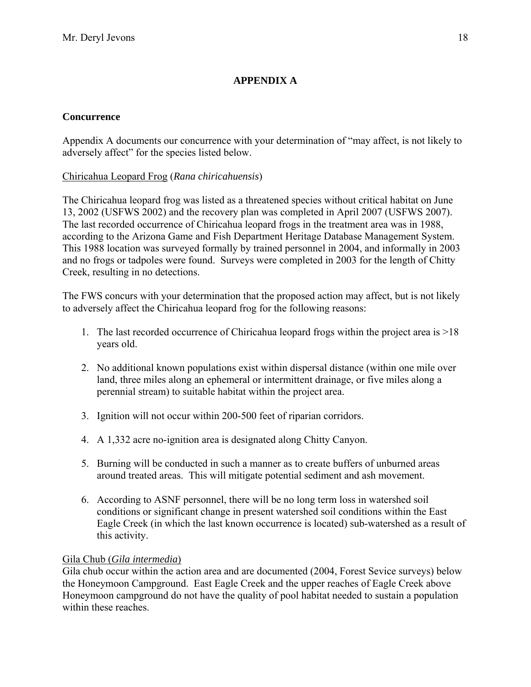## **APPENDIX A**

#### <span id="page-19-0"></span>**Concurrence**

Appendix A documents our concurrence with your determination of "may affect, is not likely to adversely affect" for the species listed below.

### Chiricahua Leopard Frog (*Rana chiricahuensis*)

The Chiricahua leopard frog was listed as a threatened species without critical habitat on June 13, 2002 (USFWS 2002) and the recovery plan was completed in April 2007 (USFWS 2007). The last recorded occurrence of Chiricahua leopard frogs in the treatment area was in 1988, according to the Arizona Game and Fish Department Heritage Database Management System. This 1988 location was surveyed formally by trained personnel in 2004, and informally in 2003 and no frogs or tadpoles were found. Surveys were completed in 2003 for the length of Chitty Creek, resulting in no detections.

The FWS concurs with your determination that the proposed action may affect, but is not likely to adversely affect the Chiricahua leopard frog for the following reasons:

- 1. The last recorded occurrence of Chiricahua leopard frogs within the project area is >18 years old.
- 2. No additional known populations exist within dispersal distance (within one mile over land, three miles along an ephemeral or intermittent drainage, or five miles along a perennial stream) to suitable habitat within the project area.
- 3. Ignition will not occur within 200-500 feet of riparian corridors.
- 4. A 1,332 acre no-ignition area is designated along Chitty Canyon.
- 5. Burning will be conducted in such a manner as to create buffers of unburned areas around treated areas. This will mitigate potential sediment and ash movement.
- 6. According to ASNF personnel, there will be no long term loss in watershed soil conditions or significant change in present watershed soil conditions within the East Eagle Creek (in which the last known occurrence is located) sub-watershed as a result of this activity.

#### Gila Chub (*Gila intermedia*)

Gila chub occur within the action area and are documented (2004, Forest Sevice surveys) below the Honeymoon Campground. East Eagle Creek and the upper reaches of Eagle Creek above Honeymoon campground do not have the quality of pool habitat needed to sustain a population within these reaches.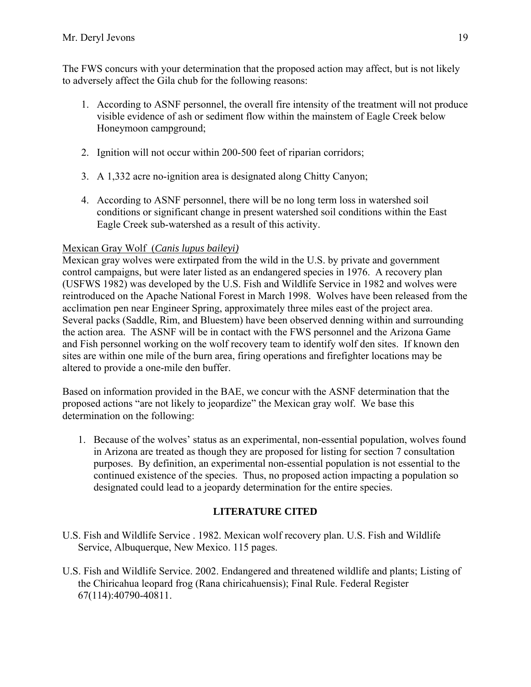<span id="page-20-0"></span>The FWS concurs with your determination that the proposed action may affect, but is not likely to adversely affect the Gila chub for the following reasons:

- 1. According to ASNF personnel, the overall fire intensity of the treatment will not produce visible evidence of ash or sediment flow within the mainstem of Eagle Creek below Honeymoon campground;
- 2. Ignition will not occur within 200-500 feet of riparian corridors;
- 3. A 1,332 acre no-ignition area is designated along Chitty Canyon;
- 4. According to ASNF personnel, there will be no long term loss in watershed soil conditions or significant change in present watershed soil conditions within the East Eagle Creek sub-watershed as a result of this activity.

#### Mexican Gray Wolf (*Canis lupus baileyi)*

Mexican gray wolves were extirpated from the wild in the U.S. by private and government control campaigns, but were later listed as an endangered species in 1976. A recovery plan (USFWS 1982) was developed by the U.S. Fish and Wildlife Service in 1982 and wolves were reintroduced on the Apache National Forest in March 1998. Wolves have been released from the acclimation pen near Engineer Spring, approximately three miles east of the project area. Several packs (Saddle, Rim, and Bluestem) have been observed denning within and surrounding the action area. The ASNF will be in contact with the FWS personnel and the Arizona Game and Fish personnel working on the wolf recovery team to identify wolf den sites. If known den sites are within one mile of the burn area, firing operations and firefighter locations may be altered to provide a one-mile den buffer.

Based on information provided in the BAE, we concur with the ASNF determination that the proposed actions "are not likely to jeopardize" the Mexican gray wolf. We base this determination on the following:

1. Because of the wolves' status as an experimental, non-essential population, wolves found in Arizona are treated as though they are proposed for listing for section 7 consultation purposes. By definition, an experimental non-essential population is not essential to the continued existence of the species. Thus, no proposed action impacting a population so designated could lead to a jeopardy determination for the entire species.

#### **LITERATURE CITED**

- U.S. Fish and Wildlife Service . 1982. Mexican wolf recovery plan. U.S. Fish and Wildlife Service, Albuquerque, New Mexico. 115 pages.
- U.S. Fish and Wildlife Service. 2002. Endangered and threatened wildlife and plants; Listing of the Chiricahua leopard frog (Rana chiricahuensis); Final Rule. Federal Register 67(114):40790-40811.